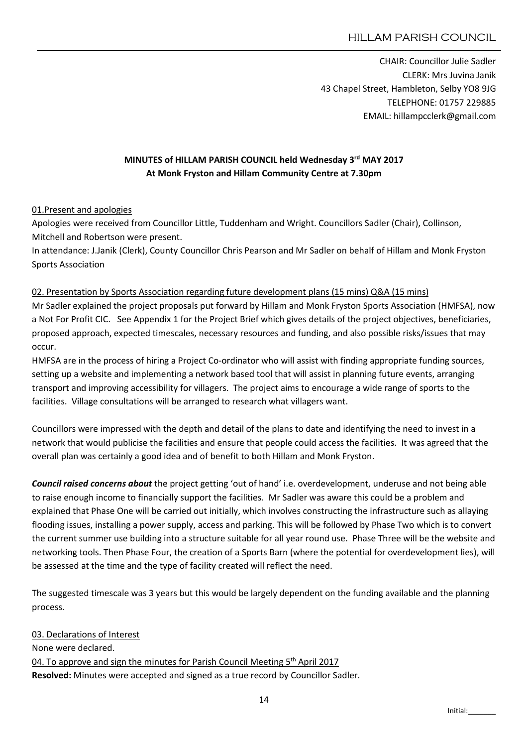CHAIR: Councillor Julie Sadler CLERK: Mrs Juvina Janik 43 Chapel Street, Hambleton, Selby YO8 9JG TELEPHONE: 01757 229885 EMAIL: hillampcclerk@gmail.com

# MINUTES of HILLAM PARISH COUNCIL held Wednesday 3rd MAY 2017 At Monk Fryston and Hillam Community Centre at 7.30pm

## 01.Present and apologies

Apologies were received from Councillor Little, Tuddenham and Wright. Councillors Sadler (Chair), Collinson, Mitchell and Robertson were present.

In attendance: J.Janik (Clerk), County Councillor Chris Pearson and Mr Sadler on behalf of Hillam and Monk Fryston Sports Association

### 02. Presentation by Sports Association regarding future development plans (15 mins) Q&A (15 mins)

Mr Sadler explained the project proposals put forward by Hillam and Monk Fryston Sports Association (HMFSA), now a Not For Profit CIC. See Appendix 1 for the Project Brief which gives details of the project objectives, beneficiaries, proposed approach, expected timescales, necessary resources and funding, and also possible risks/issues that may occur.

HMFSA are in the process of hiring a Project Co-ordinator who will assist with finding appropriate funding sources, setting up a website and implementing a network based tool that will assist in planning future events, arranging transport and improving accessibility for villagers. The project aims to encourage a wide range of sports to the facilities. Village consultations will be arranged to research what villagers want.

Councillors were impressed with the depth and detail of the plans to date and identifying the need to invest in a network that would publicise the facilities and ensure that people could access the facilities. It was agreed that the overall plan was certainly a good idea and of benefit to both Hillam and Monk Fryston.

*Council raised concerns about* the project getting 'out of hand' i.e. overdevelopment, underuse and not being able to raise enough income to financially support the facilities. Mr Sadler was aware this could be a problem and explained that Phase One will be carried out initially, which involves constructing the infrastructure such as allaying flooding issues, installing a power supply, access and parking. This will be followed by Phase Two which is to convert the current summer use building into a structure suitable for all year round use. Phase Three will be the website and networking tools. Then Phase Four, the creation of a Sports Barn (where the potential for overdevelopment lies), will be assessed at the time and the type of facility created will reflect the need.

The suggested timescale was 3 years but this would be largely dependent on the funding available and the planning process.

03. Declarations of Interest None were declared. 04. To approve and sign the minutes for Parish Council Meeting  $5<sup>th</sup>$  April 2017 Resolved: Minutes were accepted and signed as a true record by Councillor Sadler.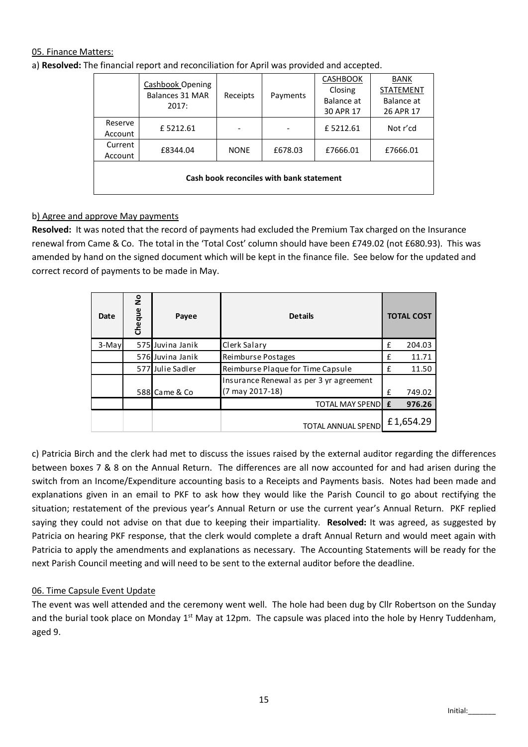## 05. Finance Matters:

a) Resolved: The financial report and reconciliation for April was provided and accepted.

|                                          | Cashbook Opening<br>Balances 31 MAR<br>2017: | Receipts    | Payments | <b>CASHBOOK</b><br>Closing<br>Balance at<br>30 APR 17 | <b>BANK</b><br><b>STATEMENT</b><br>Balance at<br>26 APR 17 |  |  |  |  |
|------------------------------------------|----------------------------------------------|-------------|----------|-------------------------------------------------------|------------------------------------------------------------|--|--|--|--|
| Reserve<br>Account                       | £5212.61                                     |             |          | £5212.61                                              | Not r'cd                                                   |  |  |  |  |
| Current<br>Account                       | £8344.04                                     | <b>NONE</b> | £678.03  | £7666.01                                              | £7666.01                                                   |  |  |  |  |
| Cash book reconciles with bank statement |                                              |             |          |                                                       |                                                            |  |  |  |  |

### b) Agree and approve May payments

Resolved: It was noted that the record of payments had excluded the Premium Tax charged on the Insurance renewal from Came & Co. The total in the 'Total Cost' column should have been £749.02 (not £680.93). This was amended by hand on the signed document which will be kept in the finance file. See below for the updated and correct record of payments to be made in May.

| Date   | <u>ខ</u><br>Cheque | Payee            | <b>Details</b>                          | <b>TOTAL COST</b> |        |
|--------|--------------------|------------------|-----------------------------------------|-------------------|--------|
| 3-Mayl |                    | 575 Juvina Janik | Clerk Salary                            | £                 | 204.03 |
|        |                    | 576 Juvina Janik | Reimburse Postages                      | £                 | 11.71  |
|        |                    | 577 Julie Sadler | Reimburse Plaque for Time Capsule       | £                 | 11.50  |
|        |                    |                  | Insurance Renewal as per 3 yr agreement |                   |        |
|        |                    | 588 Came & Co    | (7 may 2017-18)                         | £                 | 749.02 |
|        |                    |                  | <b>TOTAL MAY SPENDI</b>                 | £                 | 976.26 |
|        |                    |                  | <b>TOTAL ANNUAL SPEND</b>               | £1,654.29         |        |

c) Patricia Birch and the clerk had met to discuss the issues raised by the external auditor regarding the differences between boxes 7 & 8 on the Annual Return. The differences are all now accounted for and had arisen during the switch from an Income/Expenditure accounting basis to a Receipts and Payments basis. Notes had been made and explanations given in an email to PKF to ask how they would like the Parish Council to go about rectifying the situation; restatement of the previous year's Annual Return or use the current year's Annual Return. PKF replied saying they could not advise on that due to keeping their impartiality. Resolved: It was agreed, as suggested by Patricia on hearing PKF response, that the clerk would complete a draft Annual Return and would meet again with Patricia to apply the amendments and explanations as necessary. The Accounting Statements will be ready for the next Parish Council meeting and will need to be sent to the external auditor before the deadline.

#### 06. Time Capsule Event Update

The event was well attended and the ceremony went well. The hole had been dug by Cllr Robertson on the Sunday and the burial took place on Monday  $1<sup>st</sup>$  May at 12pm. The capsule was placed into the hole by Henry Tuddenham, aged 9.